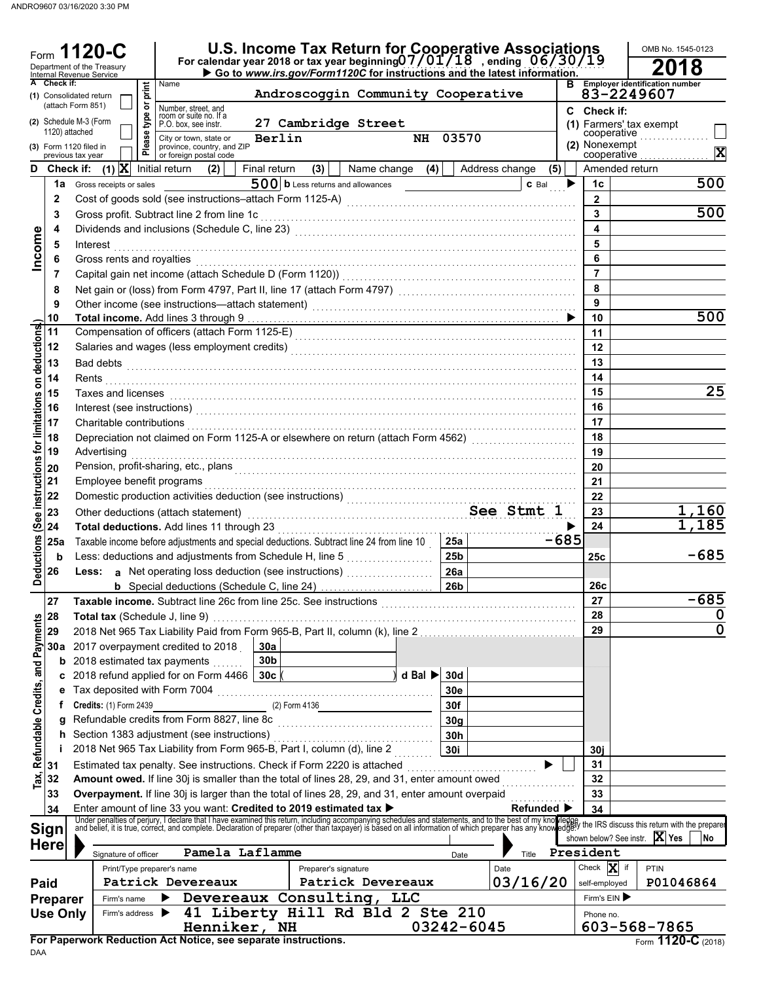| Form                                            |                 | 120-C<br>Department of the Treasury<br>Internal Revenue Service |                               |        |                                                                                                                                                                                                                                      |                        |                       |                                     |                             |                        | U.S. Income Tax Return for Cooperative Associations<br>For calendar year 2018 or tax year beginning $07/01/18$ , ending $06/30/19$<br>Go to www.irs.gov/Form1120C for instructions and the latest information. |        |                              | OMB No. 1545-0123                                                                                                                                                                                                                                                            |             |
|-------------------------------------------------|-----------------|-----------------------------------------------------------------|-------------------------------|--------|--------------------------------------------------------------------------------------------------------------------------------------------------------------------------------------------------------------------------------------|------------------------|-----------------------|-------------------------------------|-----------------------------|------------------------|----------------------------------------------------------------------------------------------------------------------------------------------------------------------------------------------------------------|--------|------------------------------|------------------------------------------------------------------------------------------------------------------------------------------------------------------------------------------------------------------------------------------------------------------------------|-------------|
|                                                 | A Check if:     | (1) Consolidated return                                         |                               | print  | Name                                                                                                                                                                                                                                 |                        |                       | Androscoggin Community Cooperative  |                             |                        |                                                                                                                                                                                                                |        |                              | <b>B</b> Employer identification number<br>83-2249607                                                                                                                                                                                                                        |             |
|                                                 |                 | (attach Form 851)                                               |                               | ৯      | Number, street, and<br>room or suite no. If a                                                                                                                                                                                        |                        |                       |                                     |                             |                        |                                                                                                                                                                                                                | C      | Check if:                    |                                                                                                                                                                                                                                                                              |             |
|                                                 | 1120) attached  | (2) Schedule M-3 (Form                                          |                               | type   | P.O. box, see instr.                                                                                                                                                                                                                 |                        |                       | 27 Cambridge Street                 |                             |                        |                                                                                                                                                                                                                |        |                              | (1) Farmers' tax exempt<br>cooperative                                                                                                                                                                                                                                       |             |
|                                                 |                 | (3) Form 1120 filed in<br>previous tax year                     |                               | Please | City or town, state or<br>province, country, and ZIP<br>or foreign postal code                                                                                                                                                       |                        | Berlin                |                                     |                             | NH 03570               |                                                                                                                                                                                                                |        |                              | (2) Nonexempt<br>cooperative                                                                                                                                                                                                                                                 | X           |
| D.                                              |                 |                                                                 |                               |        | <b>Check if:</b> (1) $X$ Initial return (2)                                                                                                                                                                                          | Final return           | (3)                   |                                     | Name change $(4)$           |                        | Address change<br>(5)                                                                                                                                                                                          |        |                              | Amended return                                                                                                                                                                                                                                                               |             |
|                                                 |                 |                                                                 | 1a Gross receipts or sales    |        |                                                                                                                                                                                                                                      |                        |                       | $500$ b Less returns and allowances |                             |                        | $C$ Bal $\rightarrow$                                                                                                                                                                                          |        | 1c                           |                                                                                                                                                                                                                                                                              | 500         |
|                                                 | $\mathbf{2}$    |                                                                 |                               |        |                                                                                                                                                                                                                                      |                        |                       |                                     |                             |                        |                                                                                                                                                                                                                |        | $\mathbf{2}$                 |                                                                                                                                                                                                                                                                              |             |
|                                                 | 3               |                                                                 |                               |        |                                                                                                                                                                                                                                      |                        |                       |                                     |                             |                        |                                                                                                                                                                                                                |        | 3                            |                                                                                                                                                                                                                                                                              | 500         |
|                                                 | 4               |                                                                 |                               |        |                                                                                                                                                                                                                                      |                        |                       |                                     |                             |                        |                                                                                                                                                                                                                |        | $\overline{\mathbf{4}}$<br>5 |                                                                                                                                                                                                                                                                              |             |
| Income                                          | 5<br>6          |                                                                 |                               |        |                                                                                                                                                                                                                                      |                        |                       |                                     |                             |                        |                                                                                                                                                                                                                |        | 6                            |                                                                                                                                                                                                                                                                              |             |
|                                                 | 7               |                                                                 |                               |        | Gross rents and royalties with an according to the control of the control of the control of the control of the                                                                                                                       |                        |                       |                                     |                             |                        |                                                                                                                                                                                                                |        | $\overline{7}$               |                                                                                                                                                                                                                                                                              |             |
|                                                 | 8               |                                                                 |                               |        |                                                                                                                                                                                                                                      |                        |                       |                                     |                             |                        |                                                                                                                                                                                                                |        | 8                            |                                                                                                                                                                                                                                                                              |             |
|                                                 | 9               |                                                                 |                               |        |                                                                                                                                                                                                                                      |                        |                       |                                     |                             |                        |                                                                                                                                                                                                                |        | $\overline{9}$               |                                                                                                                                                                                                                                                                              |             |
|                                                 | 10              |                                                                 |                               |        |                                                                                                                                                                                                                                      |                        |                       |                                     |                             |                        |                                                                                                                                                                                                                |        | 10                           |                                                                                                                                                                                                                                                                              | 500         |
|                                                 | 11<br>12        |                                                                 |                               |        | Compensation of officers (attach Form 1125-E)<br><sub> [1125-E]</sub>                                                                                                                                                                |                        |                       |                                     |                             |                        |                                                                                                                                                                                                                |        | 11<br>12                     |                                                                                                                                                                                                                                                                              |             |
|                                                 | 13              |                                                                 |                               |        |                                                                                                                                                                                                                                      |                        |                       |                                     |                             |                        |                                                                                                                                                                                                                |        | 13                           |                                                                                                                                                                                                                                                                              |             |
|                                                 | 14              |                                                                 |                               |        |                                                                                                                                                                                                                                      |                        |                       |                                     |                             |                        |                                                                                                                                                                                                                |        | 14                           |                                                                                                                                                                                                                                                                              |             |
|                                                 | 15              |                                                                 |                               |        | Taxes and licenses <b>constants and interesting the constant of the constant of the constant of the constant of the constant of the constant of the constant of the constant of the constant of the constant of the constant of </b> |                        |                       |                                     |                             |                        |                                                                                                                                                                                                                |        | 15                           |                                                                                                                                                                                                                                                                              | 25          |
|                                                 | 16              |                                                                 |                               |        | Interest (see instructions) with an according to the contract of the contract of the contract of the contract of the contract of the contract of the contract of the contract of the contract of the contract of the contract        |                        |                       |                                     |                             |                        |                                                                                                                                                                                                                |        | 16                           |                                                                                                                                                                                                                                                                              |             |
|                                                 | 17              |                                                                 |                               |        | Charitable contributions [[11] Charitable contributions [11] Charitable contributions [11] Charitable contributions                                                                                                                  |                        |                       |                                     |                             |                        |                                                                                                                                                                                                                |        | 17                           |                                                                                                                                                                                                                                                                              |             |
|                                                 | 18<br>19        |                                                                 |                               |        | Depreciation not claimed on Form 1125-A or elsewhere on return (attach Form 4562) [[[[[[[[[[[[[[[[[[[[[[[[[[[                                                                                                                        |                        |                       |                                     |                             |                        |                                                                                                                                                                                                                |        | 18                           |                                                                                                                                                                                                                                                                              |             |
|                                                 | 20              |                                                                 | Advertising                   |        |                                                                                                                                                                                                                                      |                        |                       |                                     |                             |                        |                                                                                                                                                                                                                |        | 19<br>20                     |                                                                                                                                                                                                                                                                              |             |
|                                                 | 21              |                                                                 |                               |        | Pension, profit-sharing, etc., plans <b>contained a material contained a material contained</b> and contained a material<br>Employee benefit programs                                                                                |                        |                       |                                     |                             |                        |                                                                                                                                                                                                                |        | 21                           |                                                                                                                                                                                                                                                                              |             |
|                                                 | 22              |                                                                 |                               |        | Domestic production activities deduction (see instructions)<br>materials contains a conservative of the conservative of the conservative of the conservative of the conservative of the conservative of the conservative of the      |                        |                       |                                     |                             |                        |                                                                                                                                                                                                                |        | 22                           |                                                                                                                                                                                                                                                                              |             |
| (See instructions for limitations on deductions | 23              |                                                                 |                               |        | Other deductions (attach statement) Manuscription See Stmt 1                                                                                                                                                                         |                        |                       |                                     |                             |                        |                                                                                                                                                                                                                |        | 23                           |                                                                                                                                                                                                                                                                              | 1,160       |
|                                                 | 24              |                                                                 |                               |        |                                                                                                                                                                                                                                      |                        |                       |                                     |                             |                        |                                                                                                                                                                                                                |        | 24                           |                                                                                                                                                                                                                                                                              | 1,185       |
|                                                 | 25a             |                                                                 |                               |        | Taxable income before adjustments and special deductions. Subtract line 24 from line 10                                                                                                                                              |                        |                       |                                     |                             | 25a<br>25 <sub>b</sub> |                                                                                                                                                                                                                | $-685$ |                              |                                                                                                                                                                                                                                                                              | $-685$      |
| <b>Deductions</b>                               | b<br>26         |                                                                 |                               |        | Less: deductions and adjustments from Schedule H, line 5<br>Less: a Net operating loss deduction (see instructions)                                                                                                                  |                        |                       |                                     |                             | 26a                    |                                                                                                                                                                                                                |        | 25c                          |                                                                                                                                                                                                                                                                              |             |
|                                                 |                 |                                                                 |                               |        |                                                                                                                                                                                                                                      |                        |                       |                                     |                             | 26 <sub>b</sub>        |                                                                                                                                                                                                                |        | 26c                          |                                                                                                                                                                                                                                                                              |             |
|                                                 | 27              |                                                                 |                               |        |                                                                                                                                                                                                                                      |                        |                       |                                     |                             |                        |                                                                                                                                                                                                                |        | 27                           |                                                                                                                                                                                                                                                                              | -685        |
|                                                 | 28              |                                                                 |                               |        | Total tax (Schedule J, line 9)                                                                                                                                                                                                       |                        |                       |                                     |                             |                        |                                                                                                                                                                                                                |        | 28                           |                                                                                                                                                                                                                                                                              | 0           |
| Tax, Refundable Credits, and Payments           | 29              |                                                                 |                               |        | 2018 Net 965 Tax Liability Paid from Form 965-B, Part II, column (k), line 2                                                                                                                                                         |                        |                       |                                     |                             |                        |                                                                                                                                                                                                                |        | 29                           |                                                                                                                                                                                                                                                                              | $\mathbf 0$ |
|                                                 | 30a             |                                                                 |                               |        | 2017 overpayment credited to 2018<br><b>b</b> 2018 estimated tax payments                                                                                                                                                            | 30a<br>30 <sub>b</sub> |                       |                                     |                             |                        |                                                                                                                                                                                                                |        |                              |                                                                                                                                                                                                                                                                              |             |
|                                                 | C               |                                                                 |                               |        | 2018 refund applied for on Form 4466   30c                                                                                                                                                                                           |                        |                       |                                     | d Bal $\blacktriangleright$ | 30d                    |                                                                                                                                                                                                                |        |                              |                                                                                                                                                                                                                                                                              |             |
|                                                 | е               |                                                                 |                               |        | Tax deposited with Form 7004 [[11] Marror Marror Marror Marror Marror Marror Marror Marror Marror Marror Marror                                                                                                                      |                        |                       |                                     |                             | 30e                    |                                                                                                                                                                                                                |        |                              |                                                                                                                                                                                                                                                                              |             |
|                                                 | t.              |                                                                 | <b>Credits: (1) Form 2439</b> |        |                                                                                                                                                                                                                                      |                        |                       | $(2)$ Form 4136                     |                             | 30f                    |                                                                                                                                                                                                                |        |                              |                                                                                                                                                                                                                                                                              |             |
|                                                 | a               |                                                                 |                               |        | Refundable credits from Form 8827, line 8c                                                                                                                                                                                           |                        |                       |                                     |                             | 30 <sub>a</sub>        |                                                                                                                                                                                                                |        |                              |                                                                                                                                                                                                                                                                              |             |
|                                                 |                 |                                                                 |                               |        | h Section 1383 adjustment (see instructions)<br>2018 Net 965 Tax Liability from Form 965-B, Part I, column (d), line 2                                                                                                               |                        |                       |                                     |                             | 30h<br>30i             |                                                                                                                                                                                                                |        | 30i                          |                                                                                                                                                                                                                                                                              |             |
|                                                 | 31              |                                                                 |                               |        | Estimated tax penalty. See instructions. Check if Form 2220 is attached [1, 1, 1, 1, 1, 1, 1, 1, 1, 1, 1, 1, 1                                                                                                                       |                        |                       |                                     |                             |                        |                                                                                                                                                                                                                |        | 31                           |                                                                                                                                                                                                                                                                              |             |
|                                                 | 32              |                                                                 |                               |        | Amount owed. If line 30j is smaller than the total of lines 28, 29, and 31, enter amount owed                                                                                                                                        |                        |                       |                                     |                             |                        |                                                                                                                                                                                                                |        | 32                           |                                                                                                                                                                                                                                                                              |             |
|                                                 | 33              |                                                                 |                               |        | Overpayment. If line 30j is larger than the total of lines 28, 29, and 31, enter amount overpaid                                                                                                                                     |                        |                       |                                     |                             |                        |                                                                                                                                                                                                                |        | 33                           |                                                                                                                                                                                                                                                                              |             |
|                                                 | 34              |                                                                 |                               |        | Enter amount of line 33 you want: Credited to 2019 estimated tax >                                                                                                                                                                   |                        |                       |                                     |                             |                        | <b>Refunded</b> ▶                                                                                                                                                                                              |        | 34                           |                                                                                                                                                                                                                                                                              |             |
|                                                 | Sign            |                                                                 |                               |        |                                                                                                                                                                                                                                      |                        |                       |                                     |                             |                        |                                                                                                                                                                                                                |        |                              | Under penalties of perjury, I declare that I have examined this return, including accompanying schedules and statements, and to the best of my knowledge, the IRS discuss this return with the preparer and belief, it is true<br>shown below? See instr. $ \mathbf{X} $ Yes | No          |
|                                                 | <b>Here</b>     |                                                                 | Signature of officer          |        | Pamela Laflamme                                                                                                                                                                                                                      |                        |                       |                                     |                             | Date                   | Title                                                                                                                                                                                                          |        | President                    |                                                                                                                                                                                                                                                                              |             |
|                                                 |                 |                                                                 |                               |        | Print/Type preparer's name                                                                                                                                                                                                           |                        |                       | Preparer's signature                |                             |                        | Date                                                                                                                                                                                                           |        | Check $X$ if                 | PTIN                                                                                                                                                                                                                                                                         |             |
| <b>Paid</b>                                     |                 |                                                                 |                               |        | Patrick Devereaux                                                                                                                                                                                                                    |                        |                       | Patrick Devereaux                   |                             |                        | 03/16/20                                                                                                                                                                                                       |        | self-employed                | P01046864                                                                                                                                                                                                                                                                    |             |
|                                                 | <b>Preparer</b> |                                                                 | Firm's name                   |        |                                                                                                                                                                                                                                      |                        | Devereaux Consulting, |                                     | <b>LLC</b>                  |                        |                                                                                                                                                                                                                |        | Firm's EIN                   |                                                                                                                                                                                                                                                                              |             |
|                                                 | <b>Use Only</b> |                                                                 | Firm's address >              |        | Henniker, NH                                                                                                                                                                                                                         |                        |                       | 41 Liberty Hill Rd Bld 2 Ste 210    |                             | 03242-6045             |                                                                                                                                                                                                                |        | Phone no.                    | 603-568-7865                                                                                                                                                                                                                                                                 |             |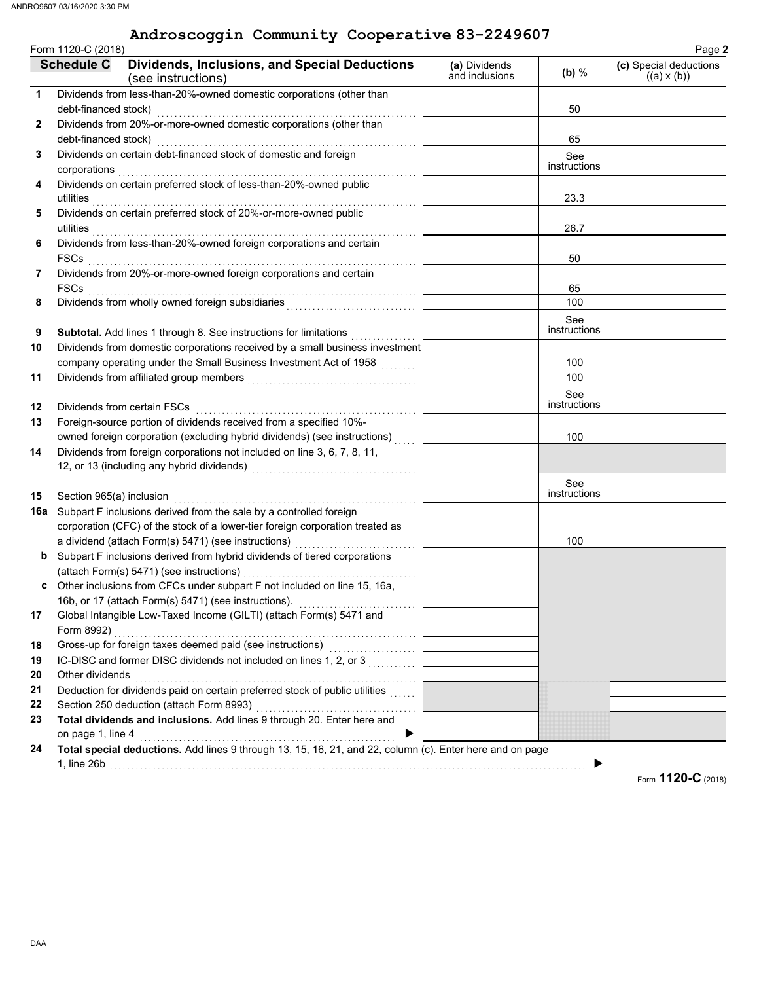#### **Androscoggin Community Cooperative 83-2249607**

| Form 1120-C (2018) |                          |                                                                                                          |                                 |                     |                                                        |
|--------------------|--------------------------|----------------------------------------------------------------------------------------------------------|---------------------------------|---------------------|--------------------------------------------------------|
|                    | <b>Schedule C</b>        | <b>Dividends, Inclusions, and Special Deductions</b><br>(see instructions)                               | (a) Dividends<br>and inclusions | (b) $%$             | Page 2<br>(c) Special deductions<br>$((a) \times (b))$ |
| $\mathbf{1}$       |                          | Dividends from less-than-20%-owned domestic corporations (other than                                     |                                 |                     |                                                        |
|                    | debt-financed stock)     |                                                                                                          |                                 | 50                  |                                                        |
| $\mathbf{2}$       |                          | Dividends from 20%-or-more-owned domestic corporations (other than                                       |                                 |                     |                                                        |
|                    | debt-financed stock)     |                                                                                                          |                                 | 65                  |                                                        |
| 3                  |                          | Dividends on certain debt-financed stock of domestic and foreign                                         |                                 | See<br>instructions |                                                        |
| 4                  | corporations             | Dividends on certain preferred stock of less-than-20%-owned public                                       |                                 |                     |                                                        |
|                    | utilities                |                                                                                                          |                                 | 23.3                |                                                        |
| 5                  |                          | Dividends on certain preferred stock of 20%-or-more-owned public                                         |                                 |                     |                                                        |
|                    | utilities                |                                                                                                          |                                 | 26.7                |                                                        |
| 6                  |                          | Dividends from less-than-20%-owned foreign corporations and certain                                      |                                 |                     |                                                        |
|                    | FSCs                     |                                                                                                          |                                 | 50                  |                                                        |
| 7                  |                          | Dividends from 20%-or-more-owned foreign corporations and certain                                        |                                 |                     |                                                        |
|                    | <b>FSCs</b>              |                                                                                                          |                                 | 65                  |                                                        |
| 8                  |                          |                                                                                                          |                                 | 100                 |                                                        |
| 9                  |                          | <b>Subtotal.</b> Add lines 1 through 8. See instructions for limitations                                 |                                 | See<br>instructions |                                                        |
| 10                 |                          | Dividends from domestic corporations received by a small business investment                             |                                 |                     |                                                        |
|                    |                          | company operating under the Small Business Investment Act of 1958                                        |                                 | 100                 |                                                        |
| 11                 |                          |                                                                                                          |                                 | 100                 |                                                        |
|                    |                          |                                                                                                          |                                 | See                 |                                                        |
| 12                 |                          | Dividends from certain FSCs                                                                              |                                 | instructions        |                                                        |
| 13                 |                          | Foreign-source portion of dividends received from a specified 10%-                                       |                                 |                     |                                                        |
|                    |                          | owned foreign corporation (excluding hybrid dividends) (see instructions)                                |                                 | 100                 |                                                        |
| 14                 |                          | Dividends from foreign corporations not included on line 3, 6, 7, 8, 11,                                 |                                 |                     |                                                        |
|                    |                          |                                                                                                          |                                 |                     |                                                        |
|                    |                          |                                                                                                          |                                 | See                 |                                                        |
| 15                 | Section 965(a) inclusion |                                                                                                          |                                 | instructions        |                                                        |
| 16a                |                          | Subpart F inclusions derived from the sale by a controlled foreign                                       |                                 |                     |                                                        |
|                    |                          | corporation (CFC) of the stock of a lower-tier foreign corporation treated as                            |                                 |                     |                                                        |
|                    |                          | a dividend (attach Form(s) 5471) (see instructions)                                                      |                                 | 100                 |                                                        |
|                    |                          | <b>b</b> Subpart F inclusions derived from hybrid dividends of tiered corporations                       |                                 |                     |                                                        |
|                    |                          | (attach Form(s) 5471) (see instructions)                                                                 |                                 |                     |                                                        |
| c                  |                          | Other inclusions from CFCs under subpart F not included on line 15, 16a,                                 |                                 |                     |                                                        |
|                    |                          | 16b, or 17 (attach Form(s) 5471) (see instructions).                                                     |                                 |                     |                                                        |
| 17                 |                          | Global Intangible Low-Taxed Income (GILTI) (attach Form(s) 5471 and                                      |                                 |                     |                                                        |
|                    | Form 8992)               | Gross-up for foreign taxes deemed paid (see instructions)                                                |                                 |                     |                                                        |
| 18                 |                          |                                                                                                          |                                 |                     |                                                        |
| 19<br>20           | Other dividends          | IC-DISC and former DISC dividends not included on lines 1, 2, or 3                                       |                                 |                     |                                                        |
|                    |                          | Deduction for dividends paid on certain preferred stock of public utilities                              |                                 |                     |                                                        |
| 21<br>22           |                          | Section 250 deduction (attach Form 8993)                                                                 |                                 |                     |                                                        |
| 23                 |                          | Total dividends and inclusions. Add lines 9 through 20. Enter here and                                   |                                 |                     |                                                        |
|                    | on page 1, line 4        | ▶                                                                                                        |                                 |                     |                                                        |
| 24                 |                          | Total special deductions. Add lines 9 through 13, 15, 16, 21, and 22, column (c). Enter here and on page |                                 |                     |                                                        |
|                    | 1, line 26b              |                                                                                                          |                                 |                     |                                                        |
|                    |                          |                                                                                                          |                                 |                     |                                                        |

Form **1120-C** (2018)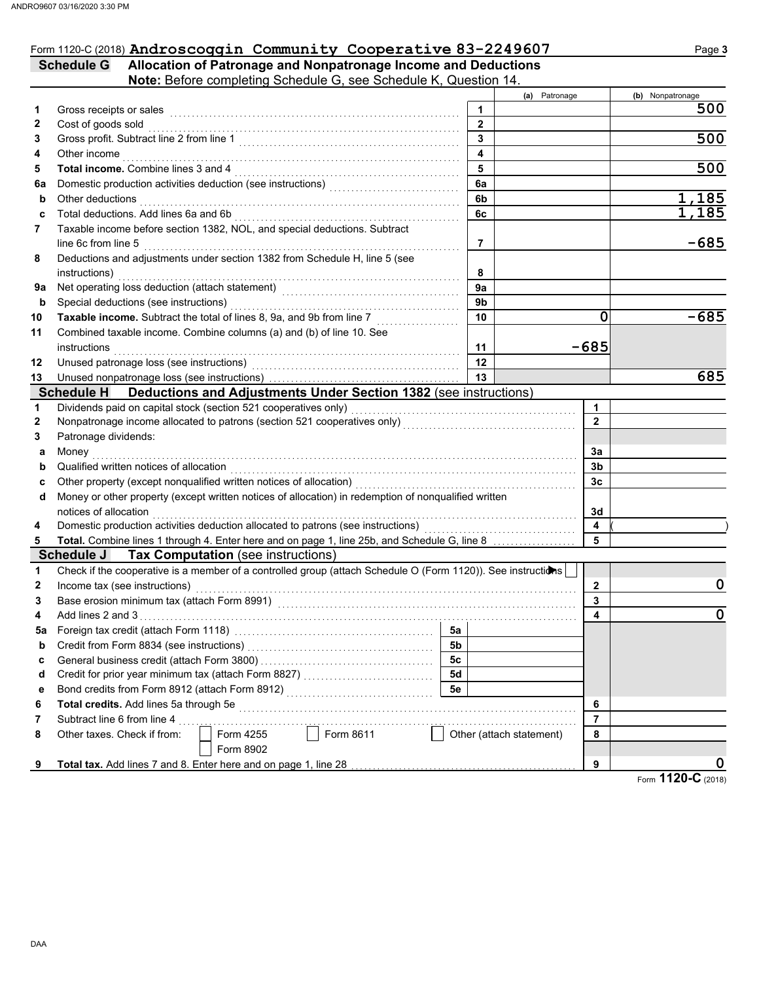### Form 1120-C (2018) Androscoggin Community Cooperative 83-2249607 Page 3

**Schedule G Allocation of Patronage and Nonpatronage Income and Deductions Note:** Before completing Schedule G, see Schedule K, Question 14.

|    |                                                                                                              |                         | (a) Patronage                 | (b) Nonpatronage |
|----|--------------------------------------------------------------------------------------------------------------|-------------------------|-------------------------------|------------------|
| 1  | Gross receipts or sales                                                                                      | 1                       |                               | 500              |
| 2  | Cost of goods sold                                                                                           | $\overline{2}$          |                               |                  |
| 3  |                                                                                                              | $\overline{3}$          |                               | 500              |
| 4  | Other income                                                                                                 | $\overline{\mathbf{4}}$ |                               |                  |
| 5  | <b>Total income.</b> Combine lines 3 and 4                                                                   | 5                       |                               | 500              |
| 6а | Domestic production activities deduction (see instructions) [[[[[[[[[[[[[[[[[[[[[[[[]]]]]]]]]]]]             | 6a                      |                               |                  |
| b  | Other deductions                                                                                             | 6b                      |                               | <u>1,185</u>     |
| c  | Total deductions. Add lines 6a and 6b                                                                        | 6c                      |                               | 1,185            |
| 7  | Taxable income before section 1382, NOL, and special deductions. Subtract                                    |                         |                               |                  |
|    | line 6c from line 5                                                                                          | 7                       |                               | $-685$           |
| 8  | Deductions and adjustments under section 1382 from Schedule H, line 5 (see                                   |                         |                               |                  |
|    | instructions)                                                                                                | 8                       |                               |                  |
| 9а |                                                                                                              | 9a                      |                               |                  |
| b  | Special deductions (see instructions)                                                                        | 9 <sub>b</sub>          |                               |                  |
| 10 | Taxable income. Subtract the total of lines 8, 9a, and 9b from line 7                                        | 10                      | $\mathbf 0$                   | $-685$           |
| 11 | Combined taxable income. Combine columns (a) and (b) of line 10. See                                         |                         |                               |                  |
|    | instructions                                                                                                 | 11                      | $-685$                        |                  |
| 12 |                                                                                                              | 12                      |                               |                  |
| 13 |                                                                                                              | 13                      |                               | 685              |
|    | Schedule H Deductions and Adjustments Under Section 1382 (see instructions)                                  |                         |                               |                  |
| 1  | Dividends paid on capital stock (section 521 cooperatives only)                                              |                         | $\blacktriangleleft$          |                  |
| 2  |                                                                                                              |                         | $\mathbf{2}$                  |                  |
| 3  | Patronage dividends:                                                                                         |                         |                               |                  |
| а  | Money                                                                                                        |                         | За                            |                  |
| b  | Qualified written notices of allocation                                                                      |                         | 3b                            |                  |
| с  | Other property (except nonqualified written notices of allocation)                                           |                         | 3 <sub>c</sub>                |                  |
| d  | Money or other property (except written notices of allocation) in redemption of nonqualified written         |                         |                               |                  |
|    | notices of allocation                                                                                        |                         | 3d                            |                  |
| 4  | Domestic production activities deduction allocated to patrons (see instructions)                             |                         | $\overline{\mathbf{A}}$       |                  |
| 5  | Total. Combine lines 1 through 4. Enter here and on page 1, line 25b, and Schedule G, line 8                 | 5                       |                               |                  |
|    | <b>Schedule J Tax Computation (see instructions)</b>                                                         |                         |                               |                  |
| 1  | Check if the cooperative is a member of a controlled group (attach Schedule O (Form 1120)). See instructions |                         |                               |                  |
| 2  | Income tax (see instructions)                                                                                |                         | $\mathbf{2}$                  | 0                |
| 3  |                                                                                                              |                         | 3                             |                  |
| 4  |                                                                                                              |                         | 4                             | 0                |
| 5a |                                                                                                              | 5a                      |                               |                  |
| b  | Credit from Form 8834 (see instructions)                                                                     | 5 <sub>b</sub>          |                               |                  |
| c  |                                                                                                              | 5c                      |                               |                  |
| d  | Credit for prior year minimum tax (attach Form 8827)                                                         | 5d                      |                               |                  |
| е  | Bond credits from Form 8912 (attach Form 8912)                                                               | 5e                      |                               |                  |
| 6  | Total credits. Add lines 5a through 5e                                                                       |                         | 6                             |                  |
| 7  | Subtract line 6 from line 4                                                                                  |                         | $\overline{7}$                |                  |
| 8  | Form 8611<br>Form 4255<br>Other taxes. Check if from:                                                        |                         | Other (attach statement)<br>8 |                  |
|    | Form 8902                                                                                                    |                         |                               |                  |
|    | Total tax. Add lines 7 and 8. Enter here and on page 1, line 28                                              |                         | 9                             |                  |
|    |                                                                                                              |                         |                               |                  |

Form **1120-C** (2018)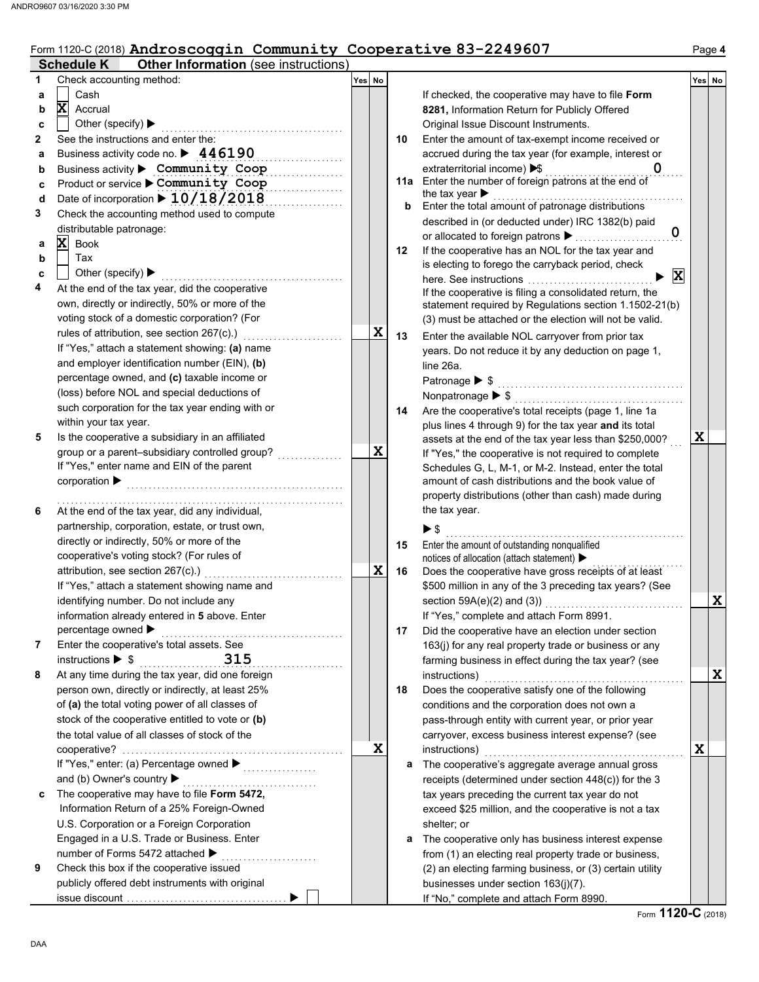# Form 1120-C (2018) Androscoggin Community Cooperative 83-2249607 Page 4

|   | <b>Schedule K</b><br><b>Other Information</b> (see instructions)                             |        |    |                                                                                                             |        |
|---|----------------------------------------------------------------------------------------------|--------|----|-------------------------------------------------------------------------------------------------------------|--------|
| 1 | Check accounting method:                                                                     | Yes No |    |                                                                                                             | Yes No |
| a | Cash                                                                                         |        |    | If checked, the cooperative may have to file Form                                                           |        |
| b | $\mathbf x$<br>Accrual                                                                       |        |    | 8281, Information Return for Publicly Offered                                                               |        |
| c | Other (specify) $\blacktriangleright$                                                        |        |    | Original Issue Discount Instruments.                                                                        |        |
| 2 | See the instructions and enter the:                                                          |        | 10 | Enter the amount of tax-exempt income received or                                                           |        |
| a | Business activity code no. $\blacktriangleright$ 446190                                      |        |    | accrued during the tax year (for example, interest or                                                       |        |
| b | Business activity > Community Coop                                                           |        |    | extraterritorial income) > \$                                                                               |        |
| c | Product or service Community Coop                                                            |        |    | 11a Enter the number of foreign patrons at the end of                                                       |        |
| d | Date of incorporation > 10/18/2018                                                           |        | b  | the tax year $\blacktriangleright$<br>Enter the total amount of patronage distributions                     |        |
| 3 | Check the accounting method used to compute                                                  |        |    | described in (or deducted under) IRC 1382(b) paid                                                           |        |
|   | distributable patronage:                                                                     |        |    | $\mathbf 0$<br>or allocated to foreign patrons >                                                            |        |
| а | X<br>Book                                                                                    |        | 12 | If the cooperative has an NOL for the tax year and                                                          |        |
| b | Tax                                                                                          |        |    | is electing to forego the carryback period, check                                                           |        |
| c | Other (specify) $\blacktriangleright$                                                        |        |    | $\vert x \vert$<br>here. See instructions                                                                   |        |
| 4 | At the end of the tax year, did the cooperative                                              |        |    | If the cooperative is filing a consolidated return, the                                                     |        |
|   | own, directly or indirectly, 50% or more of the                                              |        |    | statement required by Regulations section 1.1502-21(b)                                                      |        |
|   | voting stock of a domestic corporation? (For                                                 |        |    | (3) must be attached or the election will not be valid.                                                     |        |
|   | rules of attribution, see section 267(c).)                                                   | X      | 13 | Enter the available NOL carryover from prior tax                                                            |        |
|   | If "Yes," attach a statement showing: (a) name                                               |        |    | years. Do not reduce it by any deduction on page 1,                                                         |        |
|   | and employer identification number (EIN), (b)                                                |        |    | line 26a.                                                                                                   |        |
|   | percentage owned, and (c) taxable income or                                                  |        |    | Patronage ▶ \$                                                                                              |        |
|   | (loss) before NOL and special deductions of                                                  |        |    |                                                                                                             |        |
|   | such corporation for the tax year ending with or                                             |        | 14 | Are the cooperative's total receipts (page 1, line 1a                                                       |        |
|   | within your tax year.                                                                        |        |    | plus lines 4 through 9) for the tax year and its total                                                      |        |
| 5 | Is the cooperative a subsidiary in an affiliated                                             | X      |    | assets at the end of the tax year less than \$250,000?                                                      | X      |
|   | group or a parent-subsidiary controlled group?<br>If "Yes," enter name and EIN of the parent |        |    | If "Yes," the cooperative is not required to complete                                                       |        |
|   | $corporation$ $\blacktriangleright$                                                          |        |    | Schedules G, L, M-1, or M-2. Instead, enter the total<br>amount of cash distributions and the book value of |        |
|   |                                                                                              |        |    | property distributions (other than cash) made during                                                        |        |
| 6 | At the end of the tax year, did any individual,                                              |        |    | the tax year.                                                                                               |        |
|   | partnership, corporation, estate, or trust own,                                              |        |    |                                                                                                             |        |
|   | directly or indirectly, 50% or more of the                                                   |        |    | ▶\$<br>.                                                                                                    |        |
|   | cooperative's voting stock? (For rules of                                                    |        | 15 | Enter the amount of outstanding nonqualified<br>notices of allocation (attach statement) ▶                  |        |
|   | attribution, see section 267(c).)                                                            | X      | 16 | Does the cooperative have gross receipts of at least                                                        |        |
|   | If "Yes," attach a statement showing name and                                                |        |    | \$500 million in any of the 3 preceding tax years? (See                                                     |        |
|   | identifying number. Do not include any                                                       |        |    | section $59A(e)(2)$ and $(3)$ )                                                                             | X      |
|   | information already entered in 5 above. Enter                                                |        |    | If "Yes," complete and attach Form 8991.                                                                    |        |
|   | percentage owned ▶                                                                           |        | 17 | Did the cooperative have an election under section                                                          |        |
| 7 | Enter the cooperative's total assets. See                                                    |        |    | 163(j) for any real property trade or business or any                                                       |        |
|   | 315<br>instructions $\triangleright$ \$                                                      |        |    | farming business in effect during the tax year? (see                                                        |        |
| 8 | At any time during the tax year, did one foreign                                             |        |    | instructions)                                                                                               | X      |
|   | person own, directly or indirectly, at least 25%                                             |        | 18 | Does the cooperative satisfy one of the following                                                           |        |
|   | of (a) the total voting power of all classes of                                              |        |    | conditions and the corporation does not own a                                                               |        |
|   | stock of the cooperative entitled to vote or (b)                                             |        |    | pass-through entity with current year, or prior year                                                        |        |
|   | the total value of all classes of stock of the                                               |        |    | carryover, excess business interest expense? (see                                                           |        |
|   |                                                                                              | X      |    | instructions)                                                                                               | X      |
|   | If "Yes," enter: (a) Percentage owned ▶                                                      |        | a  | The cooperative's aggregate average annual gross                                                            |        |
|   | and (b) Owner's country                                                                      |        |    | receipts (determined under section $448(c)$ ) for the 3                                                     |        |
| c | The cooperative may have to file Form 5472,                                                  |        |    | tax years preceding the current tax year do not                                                             |        |
|   | Information Return of a 25% Foreign-Owned                                                    |        |    | exceed \$25 million, and the cooperative is not a tax                                                       |        |
|   | U.S. Corporation or a Foreign Corporation                                                    |        |    | shelter; or                                                                                                 |        |
|   | Engaged in a U.S. Trade or Business. Enter                                                   |        | а  | The cooperative only has business interest expense                                                          |        |
|   | number of Forms 5472 attached ▶                                                              |        |    | from (1) an electing real property trade or business,                                                       |        |
| 9 | Check this box if the cooperative issued                                                     |        |    | (2) an electing farming business, or (3) certain utility                                                    |        |
|   | publicly offered debt instruments with original                                              |        |    | businesses under section 163(j)(7).                                                                         |        |
|   |                                                                                              |        |    | If "No," complete and attach Form 8990.                                                                     |        |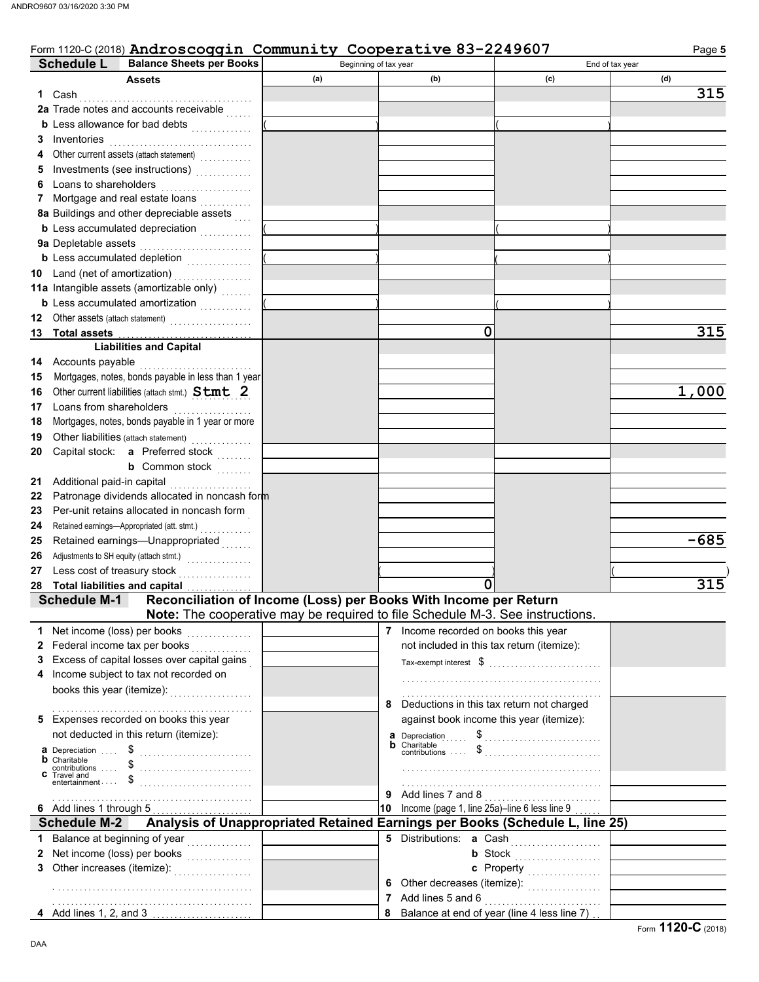**Balance Sheets per Books Schedule L**

#### Beginning of tax year End of tax year Form 1120-C (2018) Androscoggin Community Cooperative 83-2249607 Page 5

|    | Assets                                                                                                  | (a)                                 | (b)                                                | (c)                                                                                | (d)    |
|----|---------------------------------------------------------------------------------------------------------|-------------------------------------|----------------------------------------------------|------------------------------------------------------------------------------------|--------|
| 1. | Cash                                                                                                    |                                     |                                                    |                                                                                    | 315    |
|    | 2a Trade notes and accounts receivable                                                                  |                                     |                                                    |                                                                                    |        |
|    | <b>b</b> Less allowance for bad debts <i>minimizing</i>                                                 |                                     |                                                    |                                                                                    |        |
| З  | Inventories                                                                                             |                                     |                                                    |                                                                                    |        |
| 4  | Other current assets (attach statement)                                                                 |                                     |                                                    |                                                                                    |        |
| 5  |                                                                                                         |                                     |                                                    |                                                                                    |        |
| 6  | Loans to shareholders                                                                                   |                                     |                                                    |                                                                                    |        |
| 7  | Mortgage and real estate loans                                                                          |                                     |                                                    |                                                                                    |        |
|    | 8a Buildings and other depreciable assets                                                               |                                     |                                                    |                                                                                    |        |
|    | <b>b</b> Less accumulated depreciation <i>minimizing</i>                                                |                                     |                                                    |                                                                                    |        |
|    | 9a Depletable assets                                                                                    |                                     |                                                    |                                                                                    |        |
|    | <b>b</b> Less accumulated depletion <i></i>                                                             |                                     |                                                    |                                                                                    |        |
| 10 |                                                                                                         |                                     |                                                    |                                                                                    |        |
|    | 11a Intangible assets (amortizable only)                                                                |                                     |                                                    |                                                                                    |        |
|    | <b>b</b> Less accumulated amortization <i>minimization</i>                                              |                                     |                                                    |                                                                                    |        |
| 12 |                                                                                                         |                                     |                                                    |                                                                                    |        |
|    | Other assets (attach statement)<br><b>Total assets</b>                                                  |                                     | 0                                                  |                                                                                    | 315    |
| 13 |                                                                                                         |                                     |                                                    |                                                                                    |        |
|    | <b>Liabilities and Capital</b>                                                                          |                                     |                                                    |                                                                                    |        |
| 14 | Accounts payable                                                                                        |                                     |                                                    |                                                                                    |        |
| 15 | Mortgages, notes, bonds payable in less than 1 year                                                     |                                     |                                                    |                                                                                    |        |
| 16 | Other current liabilities (attach stmt.) Stmt 2                                                         |                                     |                                                    |                                                                                    | 1,000  |
| 17 | Loans from shareholders                                                                                 |                                     |                                                    |                                                                                    |        |
| 18 | Mortgages, notes, bonds payable in 1 year or more                                                       |                                     |                                                    |                                                                                    |        |
| 19 |                                                                                                         |                                     |                                                    |                                                                                    |        |
| 20 | Capital stock: <b>a</b> Preferred stock                                                                 |                                     |                                                    |                                                                                    |        |
|    | <b>b</b> Common stock $\ldots$                                                                          |                                     |                                                    |                                                                                    |        |
| 21 | Additional paid-in capital                                                                              |                                     |                                                    |                                                                                    |        |
| 22 | Patronage dividends allocated in noncash form                                                           |                                     |                                                    |                                                                                    |        |
| 23 | Per-unit retains allocated in noncash form                                                              |                                     |                                                    |                                                                                    |        |
| 24 |                                                                                                         |                                     |                                                    |                                                                                    |        |
| 25 | Retained earnings-Unappropriated                                                                        |                                     |                                                    |                                                                                    | $-685$ |
| 26 | Adjustments to SH equity (attach stmt.)<br>                                                             |                                     |                                                    |                                                                                    |        |
| 27 | Less cost of treasury stock<br>.                                                                        |                                     |                                                    |                                                                                    |        |
| 28 | <b>Total liabilities and capital</b>                                                                    |                                     |                                                    |                                                                                    | 315    |
|    | Reconciliation of Income (Loss) per Books With Income per Return<br><b>Schedule M-1</b>                 |                                     |                                                    |                                                                                    |        |
|    | Note: The cooperative may be required to file Schedule M-3. See instructions.                           |                                     |                                                    |                                                                                    |        |
|    | 1 Net income (loss) per books                                                                           | the contract of the contract of the | 7 Income recorded on books this year               |                                                                                    |        |
|    | 2 Federal income tax per books                                                                          |                                     | not included in this tax return (itemize):         |                                                                                    |        |
| 3. | Excess of capital losses over capital gains                                                             |                                     |                                                    |                                                                                    |        |
| 4  | Income subject to tax not recorded on                                                                   |                                     |                                                    |                                                                                    |        |
|    | books this year (itemize): www.community.com                                                            |                                     |                                                    |                                                                                    |        |
|    |                                                                                                         |                                     | Deductions in this tax return not charged<br>8     |                                                                                    |        |
|    | 5 Expenses recorded on books this year                                                                  |                                     | against book income this year (itemize):           |                                                                                    |        |
|    | not deducted in this return (itemize):                                                                  |                                     |                                                    | <b>a</b> Depreciation $\begin{matrix} 1 & 0 \\ 0 & 1 \end{matrix}$                 |        |
|    |                                                                                                         |                                     | <b>b</b> Charitable<br>contributions  \$           |                                                                                    |        |
|    |                                                                                                         |                                     |                                                    |                                                                                    |        |
|    | <b>b</b> Charitable<br><b>c</b> Contributions  \$<br><b>c</b> Travel and<br>entertainment  \$           |                                     |                                                    |                                                                                    |        |
|    |                                                                                                         |                                     |                                                    |                                                                                    |        |
|    |                                                                                                         |                                     | 9                                                  | Add lines 7 and 8                                                                  |        |
|    | 6 Add lines 1 through 5<br>Analysis of Unappropriated Retained Earnings per Books (Schedule L, line 25) |                                     | Income (page 1, line 25a)-line 6 less line 9<br>10 |                                                                                    |        |
|    | <b>Schedule M-2</b>                                                                                     |                                     |                                                    |                                                                                    |        |
| 1  | Balance at beginning of year<br>.                                                                       |                                     | 5 Distributions: a Cash                            |                                                                                    |        |
| 2  | Net income (loss) per books<br>                                                                         |                                     |                                                    | <b>b</b> Stock $\begin{bmatrix} 1 & 1 & 1 \\ 1 & 1 & 1 \\ 1 & 1 & 1 \end{bmatrix}$ |        |
| 3  | Other increases (itemize): <b>Marker</b>                                                                |                                     |                                                    | c Property                                                                         |        |
|    |                                                                                                         |                                     | 6                                                  | Other decreases (itemize):                                                         |        |
|    |                                                                                                         |                                     | 7                                                  | Add lines 5 and 6                                                                  |        |
|    | 4 Add lines 1, 2, and 3                                                                                 |                                     | 8                                                  | Balance at end of year (line 4 less line 7).                                       |        |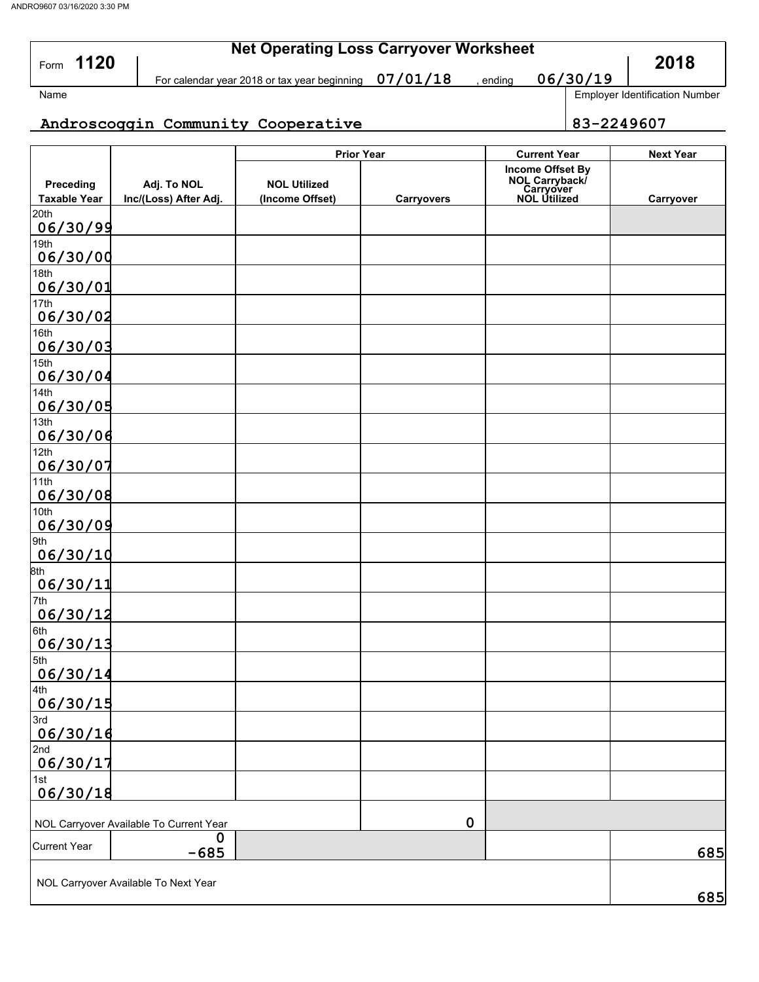| 1120<br>Form                     |                                      | <b>Net Operating Loss Carryover Worksheet</b> |                   |                                                                               |            |                                       |  |  |  |  |
|----------------------------------|--------------------------------------|-----------------------------------------------|-------------------|-------------------------------------------------------------------------------|------------|---------------------------------------|--|--|--|--|
|                                  |                                      | For calendar year 2018 or tax year beginning  | , ending          | 06/30/19                                                                      |            |                                       |  |  |  |  |
| Name                             |                                      |                                               |                   |                                                                               |            | <b>Employer Identification Number</b> |  |  |  |  |
|                                  |                                      | Androscoggin Community Cooperative            |                   |                                                                               | 83-2249607 |                                       |  |  |  |  |
|                                  |                                      | <b>Prior Year</b>                             |                   | <b>Current Year</b>                                                           |            | <b>Next Year</b>                      |  |  |  |  |
| Preceding<br><b>Taxable Year</b> | Adj. To NOL<br>Inc/(Loss) After Adj. | <b>NOL Utilized</b><br>(Income Offset)        | <b>Carryovers</b> | <b>Income Offset By</b><br>NOL Carryback/<br>Carryover<br><b>NOL Utilized</b> |            | Carryover                             |  |  |  |  |
| 20th<br>06/30/99                 |                                      |                                               |                   |                                                                               |            |                                       |  |  |  |  |
| 19th<br>06/30/00                 |                                      |                                               |                   |                                                                               |            |                                       |  |  |  |  |
| 18th<br>06/30/01                 |                                      |                                               |                   |                                                                               |            |                                       |  |  |  |  |
| 17th<br>.                        |                                      |                                               |                   |                                                                               |            |                                       |  |  |  |  |

| <u>06/30/02</u>                         |           |     |
|-----------------------------------------|-----------|-----|
| 16th                                    |           |     |
| 06/30/03                                |           |     |
| 15th<br>06/30/04                        |           |     |
| 14th                                    |           |     |
| 06/30/05                                |           |     |
| 13th<br>06/30/06                        |           |     |
| 12th                                    |           |     |
| 06/30/07                                |           |     |
| 11th                                    |           |     |
| 06/30/08                                |           |     |
| 10th                                    |           |     |
| 06/30/09                                |           |     |
| 9th<br>06/30/10                         |           |     |
| 8th                                     |           |     |
| 06/30/11                                |           |     |
| 7th                                     |           |     |
| 06/30/12                                |           |     |
| 6th<br>06/30/13                         |           |     |
| 5th                                     |           |     |
| 06/30/14                                |           |     |
| 4th                                     |           |     |
| 06/30/15                                |           |     |
| 3rd                                     |           |     |
| 06/30/16                                |           |     |
| 2nd                                     |           |     |
| 06/30/17                                |           |     |
| 1st                                     |           |     |
| 06/30/18                                |           |     |
|                                         |           |     |
| NOL Carryover Available To Current Year | $\pmb{0}$ |     |
| $\mathbf 0$<br><b>Current Year</b>      |           |     |
| $-685$                                  |           | 685 |
|                                         |           |     |
| NOL Carryover Available To Next Year    |           |     |
|                                         |           | 685 |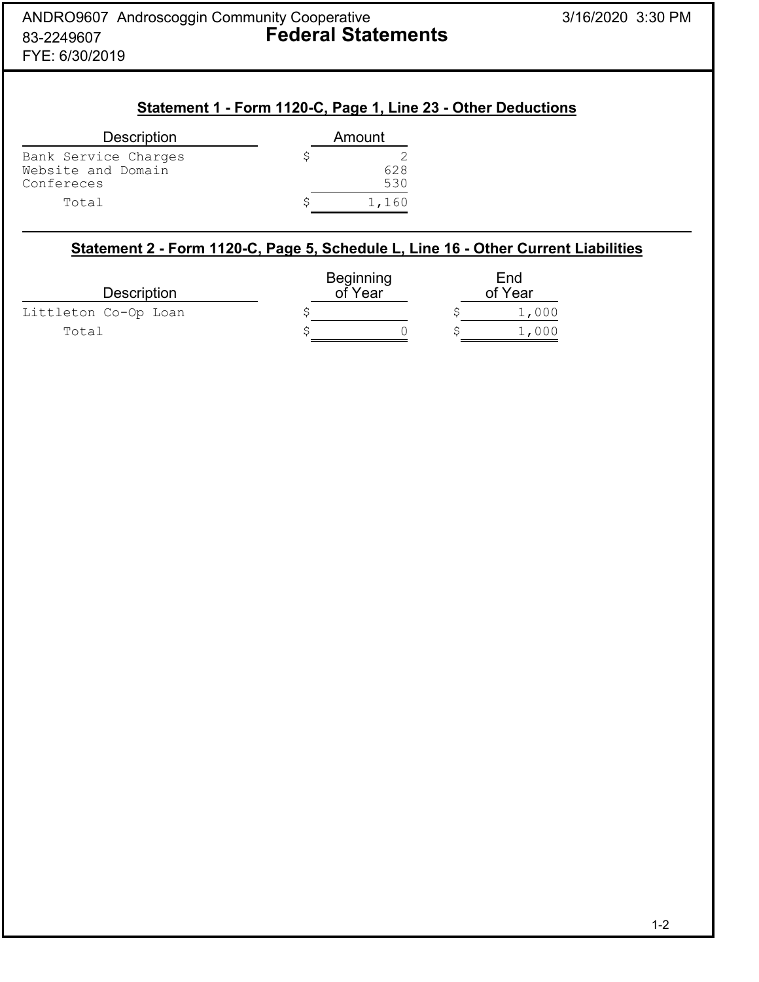# **Statement 1 - Form 1120-C, Page 1, Line 23 - Other Deductions**

| <b>Description</b>                                       | Amount     |
|----------------------------------------------------------|------------|
| Bank Service Charges<br>Website and Domain<br>Confereces | 628<br>530 |
| Total                                                    | 1,160      |

## **Statement 2 - Form 1120-C, Page 5, Schedule L, Line 16 - Other Current Liabilities**

| <b>Description</b>   | Beginning<br>of Year | End<br>of Year |  |       |
|----------------------|----------------------|----------------|--|-------|
| Littleton Co-Op Loan |                      |                |  | 1,000 |
| Total                |                      |                |  | 1,000 |